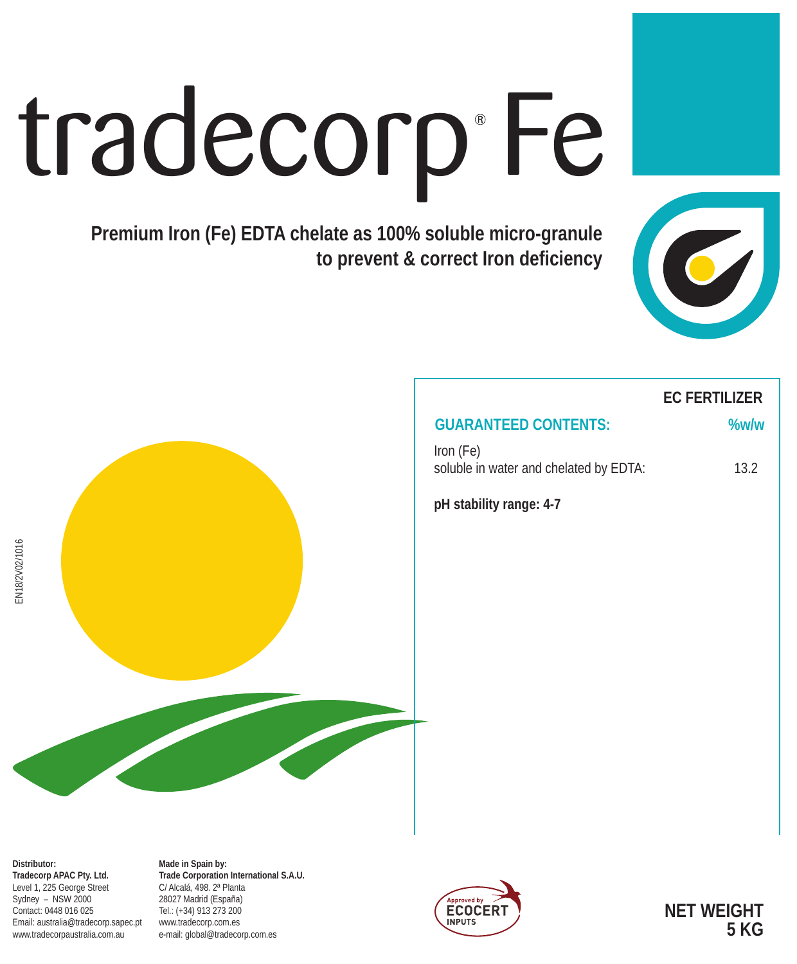# tradecorp Fe

**Premium Iron (Fe) EDTA chelate as 100% soluble micro-granule to prevent & correct Iron deficiency**





# **EC FERTILIZER**

## **GUARANTEED CONTENTS: %w/w**

Iron (Fe) soluble in water and chelated by EDTA: 13.2

**pH stability range: 4-7**

**Distributor: Tradecorp APAC Pty. Ltd.** Level 1, 225 George Street Sydney – NSW 2000 Contact: 0448 016 025 Email: australia@tradecorp.sapec.pt www.tradecorpaustralia.com.au

**Made in Spain by: Trade Corporation International S.A.U.** C/ Alcalá, 498. 2ª Planta 28027 Madrid (España) Tel.: (+34) 913 273 200 www.tradecorp.com.es e-mail: global@tradecorp.com.es



**NET WEIGHT 5 KG**